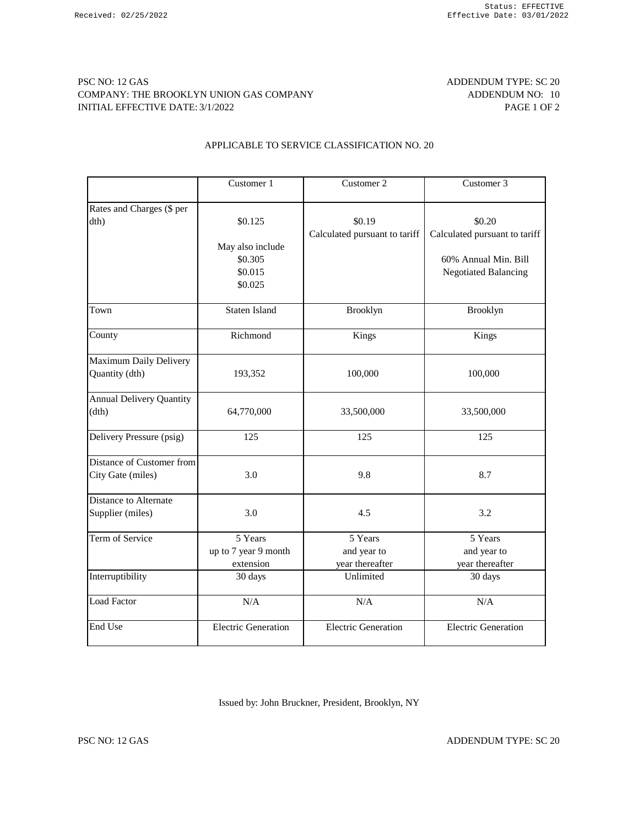## PSC NO: 12 GAS ADDENDUM TYPE: SC 20 COMPANY: THE BROOKLYN UNION GAS COMPANY **ADDENDUM NO:** 10 INITIAL EFFECTIVE DATE: 3/1/2022 PAGE 1 OF 2

### APPLICABLE TO SERVICE CLASSIFICATION NO. 20

|                                                  | Customer 1                                                   | Customer 2                                | Customer 3                                                                                     |
|--------------------------------------------------|--------------------------------------------------------------|-------------------------------------------|------------------------------------------------------------------------------------------------|
| Rates and Charges (\$ per<br>dth)                | \$0.125<br>May also include<br>\$0.305<br>\$0.015<br>\$0.025 | \$0.19<br>Calculated pursuant to tariff   | \$0.20<br>Calculated pursuant to tariff<br>60% Annual Min. Bill<br><b>Negotiated Balancing</b> |
| Town                                             | <b>Staten Island</b>                                         | Brooklyn                                  | Brooklyn                                                                                       |
| County                                           | Richmond                                                     | Kings                                     | Kings                                                                                          |
| Maximum Daily Delivery<br>Quantity (dth)         | 193,352                                                      | 100,000                                   | 100,000                                                                                        |
| <b>Annual Delivery Quantity</b><br>(dth)         | 64,770,000                                                   | 33,500,000                                | 33,500,000                                                                                     |
| Delivery Pressure (psig)                         | 125                                                          | 125                                       | 125                                                                                            |
| Distance of Customer from<br>City Gate (miles)   | 3.0                                                          | 9.8                                       | 8.7                                                                                            |
| <b>Distance to Alternate</b><br>Supplier (miles) | 3.0                                                          | 4.5                                       | 3.2                                                                                            |
| Term of Service                                  | 5 Years<br>up to 7 year 9 month<br>extension                 | 5 Years<br>and year to<br>year thereafter | 5 Years<br>and year to<br>year thereafter                                                      |
| Interruptibility                                 | 30 days                                                      | Unlimited                                 | 30 days                                                                                        |
| <b>Load Factor</b>                               | N/A                                                          | N/A                                       | N/A                                                                                            |
| End Use                                          | <b>Electric Generation</b>                                   | <b>Electric Generation</b>                | <b>Electric Generation</b>                                                                     |

Issued by: John Bruckner, President, Brooklyn, NY